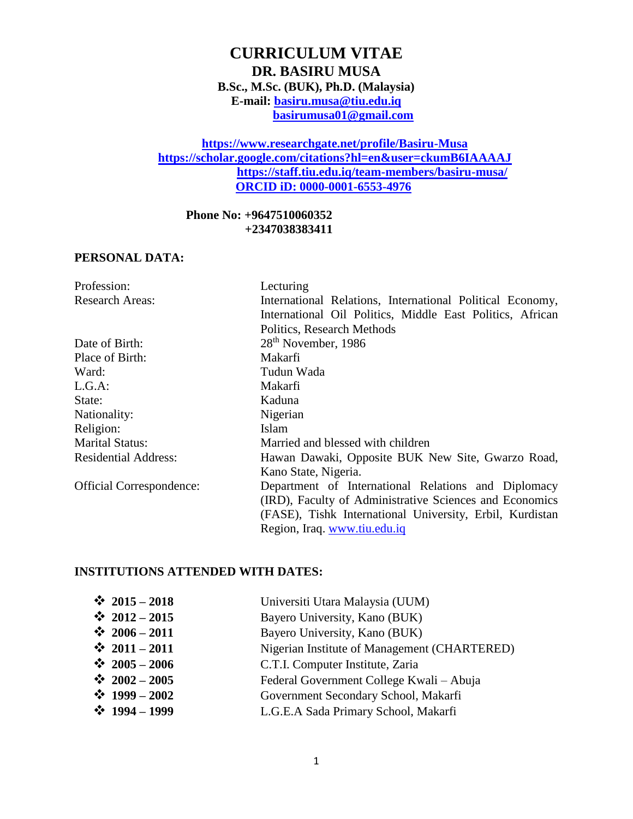# **CURRICULUM VITAE DR. BASIRU MUSA B.Sc., M.Sc. (BUK), Ph.D. (Malaysia) E-mail: [basiru.musa@tiu.edu.iq](mailto:basiru.musa@tiu.edu.iq) [basirumusa01@gmail.com](mailto:basirumusa01@gmail.com)**

### **https://www.researchgate.net/profile/Basiru-Musa <https://scholar.google.com/citations?hl=en&user=ckumB6IAAAAJ> <https://staff.tiu.edu.iq/team-members/basiru-musa/> ORCID iD: 0000-0001-6553-4976**

**Phone No: +9647510060352 +2347038383411**

#### **PERSONAL DATA:**

| Profession:                     | Lecturing                                                 |
|---------------------------------|-----------------------------------------------------------|
| <b>Research Areas:</b>          | International Relations, International Political Economy, |
|                                 | International Oil Politics, Middle East Politics, African |
|                                 | Politics, Research Methods                                |
| Date of Birth:                  | 28 <sup>th</sup> November, 1986                           |
| Place of Birth:                 | Makarfi                                                   |
| Ward:                           | Tudun Wada                                                |
| L.G.A:                          | Makarfi                                                   |
| State:                          | Kaduna                                                    |
| Nationality:                    | Nigerian                                                  |
| Religion:                       | Islam                                                     |
| <b>Marital Status:</b>          | Married and blessed with children                         |
| <b>Residential Address:</b>     | Hawan Dawaki, Opposite BUK New Site, Gwarzo Road,         |
|                                 | Kano State, Nigeria.                                      |
| <b>Official Correspondence:</b> | Department of International Relations and Diplomacy       |
|                                 | (IRD), Faculty of Administrative Sciences and Economics   |
|                                 | (FASE), Tishk International University, Erbil, Kurdistan  |
|                                 | Region, Iraq. www.tiu.edu.iq                              |

### **INSTITUTIONS ATTENDED WITH DATES:**

| $\div$ 2015 - 2018 | Universiti Utara Malaysia (UUM)              |
|--------------------|----------------------------------------------|
| $\div$ 2012 - 2015 | Bayero University, Kano (BUK)                |
| $\div$ 2006 - 2011 | Bayero University, Kano (BUK)                |
| $\div$ 2011 - 2011 | Nigerian Institute of Management (CHARTERED) |
| $\div$ 2005 - 2006 | C.T.I. Computer Institute, Zaria             |
| $\div$ 2002 - 2005 | Federal Government College Kwali – Abuja     |
| $\div$ 1999 – 2002 | Government Secondary School, Makarfi         |
| $\div$ 1994 - 1999 | L.G.E.A Sada Primary School, Makarfi         |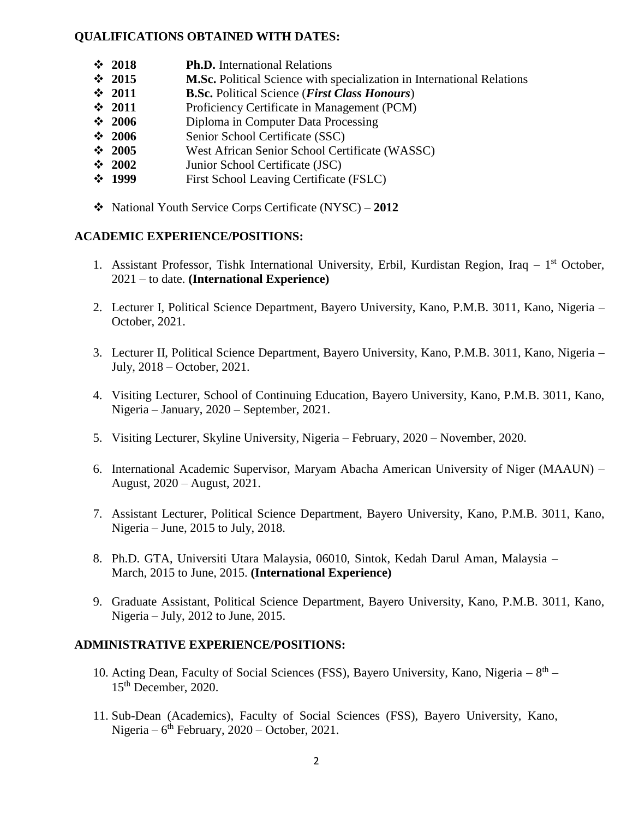### **QUALIFICATIONS OBTAINED WITH DATES:**

- **2018 Ph.D.** International Relations
- **2015 M.Sc.** Political Science with specialization in International Relations
- **2011 B.Sc.** Political Science (*First Class Honours*)
- **2011** Proficiency Certificate in Management (PCM)
- **2006** Diploma in Computer Data Processing
- **2006** Senior School Certificate (SSC)
- **2005** West African Senior School Certificate (WASSC)
- **2002** Junior School Certificate (JSC)
- **1999** First School Leaving Certificate (FSLC)
- National Youth Service Corps Certificate (NYSC) **2012**

### **ACADEMIC EXPERIENCE/POSITIONS:**

- 1. Assistant Professor, Tishk International University, Erbil, Kurdistan Region, Iraq 1<sup>st</sup> October, 2021 – to date. **(International Experience)**
- 2. Lecturer I, Political Science Department, Bayero University, Kano, P.M.B. 3011, Kano, Nigeria October, 2021.
- 3. Lecturer II, Political Science Department, Bayero University, Kano, P.M.B. 3011, Kano, Nigeria July, 2018 – October, 2021.
- 4. Visiting Lecturer, School of Continuing Education, Bayero University, Kano, P.M.B. 3011, Kano, Nigeria – January, 2020 – September, 2021.
- 5. Visiting Lecturer, Skyline University, Nigeria February, 2020 November, 2020.
- 6. International Academic Supervisor, Maryam Abacha American University of Niger (MAAUN) August, 2020 – August, 2021.
- 7. Assistant Lecturer, Political Science Department, Bayero University, Kano, P.M.B. 3011, Kano, Nigeria – June, 2015 to July, 2018.
- 8. Ph.D. GTA, Universiti Utara Malaysia, 06010, Sintok, Kedah Darul Aman, Malaysia March, 2015 to June, 2015. **(International Experience)**
- 9. Graduate Assistant, Political Science Department, Bayero University, Kano, P.M.B. 3011, Kano, Nigeria – July, 2012 to June, 2015.

### **ADMINISTRATIVE EXPERIENCE/POSITIONS:**

- 10. Acting Dean, Faculty of Social Sciences (FSS), Bayero University, Kano, Nigeria  $8<sup>th</sup>$  -15th December, 2020.
- 11. Sub-Dean (Academics), Faculty of Social Sciences (FSS), Bayero University, Kano, Nigeria –  $6<sup>th</sup>$  February, 2020 – October, 2021.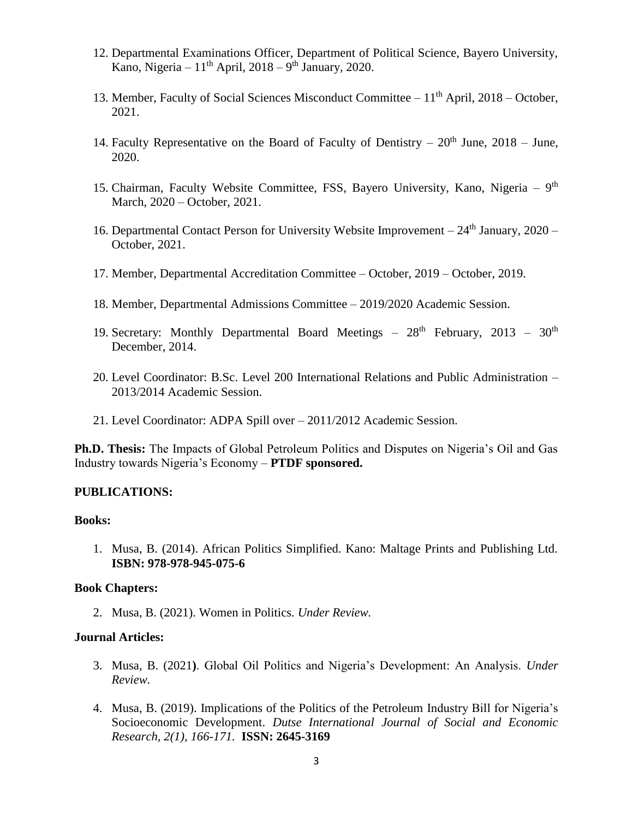- 12. Departmental Examinations Officer, Department of Political Science, Bayero University, Kano, Nigeria –  $11<sup>th</sup>$  April, 2018 – 9<sup>th</sup> January, 2020.
- 13. Member, Faculty of Social Sciences Misconduct Committee  $-11<sup>th</sup>$  April, 2018 October, 2021.
- 14. Faculty Representative on the Board of Faculty of Dentistry  $20^{th}$  June,  $2018$  June, 2020.
- 15. Chairman, Faculty Website Committee, FSS, Bayero University, Kano, Nigeria 9<sup>th</sup> March, 2020 – October, 2021.
- 16. Departmental Contact Person for University Website Improvement  $-24<sup>th</sup>$  January, 2020 October, 2021.
- 17. Member, Departmental Accreditation Committee October, 2019 October, 2019.
- 18. Member, Departmental Admissions Committee 2019/2020 Academic Session.
- 19. Secretary: Monthly Departmental Board Meetings  $28<sup>th</sup>$  February,  $2013 30<sup>th</sup>$ December, 2014.
- 20. Level Coordinator: B.Sc. Level 200 International Relations and Public Administration 2013/2014 Academic Session.
- 21. Level Coordinator: ADPA Spill over 2011/2012 Academic Session.

**Ph.D. Thesis:** The Impacts of Global Petroleum Politics and Disputes on Nigeria's Oil and Gas Industry towards Nigeria's Economy – **PTDF sponsored.**

### **PUBLICATIONS:**

#### **Books:**

1. Musa, B. (2014). African Politics Simplified. Kano: Maltage Prints and Publishing Ltd. **ISBN: 978-978-945-075-6**

#### **Book Chapters:**

2. Musa, B. (2021). Women in Politics. *Under Review.*

#### **Journal Articles:**

- 3. Musa, B. (2021**)**. Global Oil Politics and Nigeria's Development: An Analysis. *Under Review.*
- 4. Musa, B. (2019). Implications of the Politics of the Petroleum Industry Bill for Nigeria's Socioeconomic Development. *Dutse International Journal of Social and Economic Research, 2(1), 166-171.* **ISSN: 2645-3169**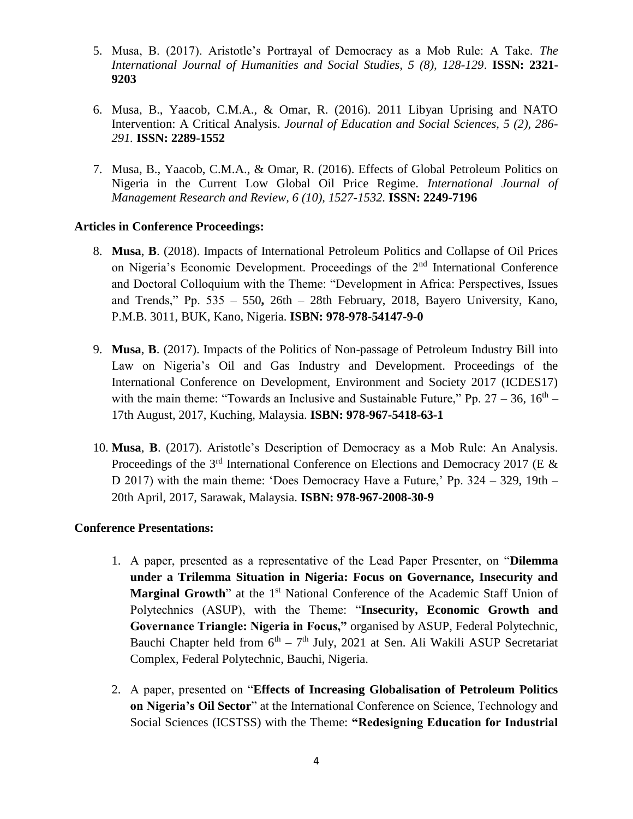- 5. Musa, B. (2017). Aristotle's Portrayal of Democracy as a Mob Rule: A Take. *The International Journal of Humanities and Social Studies, 5 (8), 128-129*. **ISSN: 2321- 9203**
- 6. Musa, B., Yaacob, C.M.A., & Omar, R. (2016). 2011 Libyan Uprising and NATO Intervention: A Critical Analysis. *Journal of Education and Social Sciences, 5 (2), 286- 291.* **ISSN: 2289-1552**
- 7. Musa, B., Yaacob, C.M.A., & Omar, R. (2016). Effects of Global Petroleum Politics on Nigeria in the Current Low Global Oil Price Regime. *International Journal of Management Research and Review, 6 (10), 1527-1532.* **ISSN: 2249-7196**

### **Articles in Conference Proceedings:**

- 8. **Musa**, **B**. (2018). Impacts of International Petroleum Politics and Collapse of Oil Prices on Nigeria's Economic Development. Proceedings of the 2nd International Conference and Doctoral Colloquium with the Theme: "Development in Africa: Perspectives, Issues and Trends," Pp. 535 – 550**,** 26th – 28th February, 2018, Bayero University, Kano, P.M.B. 3011, BUK, Kano, Nigeria. **ISBN: 978-978-54147-9-0**
- 9. **Musa**, **B**. (2017). Impacts of the Politics of Non-passage of Petroleum Industry Bill into Law on Nigeria's Oil and Gas Industry and Development. Proceedings of the International Conference on Development, Environment and Society 2017 (ICDES17) with the main theme: "Towards an Inclusive and Sustainable Future," Pp.  $27 - 36$ ,  $16<sup>th</sup>$ 17th August, 2017, Kuching, Malaysia. **ISBN: 978-967-5418-63-1**
- 10. **Musa**, **B**. (2017). Aristotle's Description of Democracy as a Mob Rule: An Analysis. Proceedings of the  $3<sup>rd</sup>$  International Conference on Elections and Democracy 2017 (E & D 2017) with the main theme: 'Does Democracy Have a Future,' Pp. 324 – 329, 19th – 20th April, 2017, Sarawak, Malaysia. **ISBN: 978-967-2008-30-9**

### **Conference Presentations:**

- 1. A paper, presented as a representative of the Lead Paper Presenter, on "**Dilemma under a Trilemma Situation in Nigeria: Focus on Governance, Insecurity and Marginal Growth**" at the 1<sup>st</sup> National Conference of the Academic Staff Union of Polytechnics (ASUP), with the Theme: "**Insecurity, Economic Growth and Governance Triangle: Nigeria in Focus,"** organised by ASUP, Federal Polytechnic, Bauchi Chapter held from  $6<sup>th</sup> - 7<sup>th</sup>$  July, 2021 at Sen. Ali Wakili ASUP Secretariat Complex, Federal Polytechnic, Bauchi, Nigeria.
- 2. A paper, presented on "**Effects of Increasing Globalisation of Petroleum Politics on Nigeria's Oil Sector**" at the International Conference on Science, Technology and Social Sciences (ICSTSS) with the Theme: **"Redesigning Education for Industrial**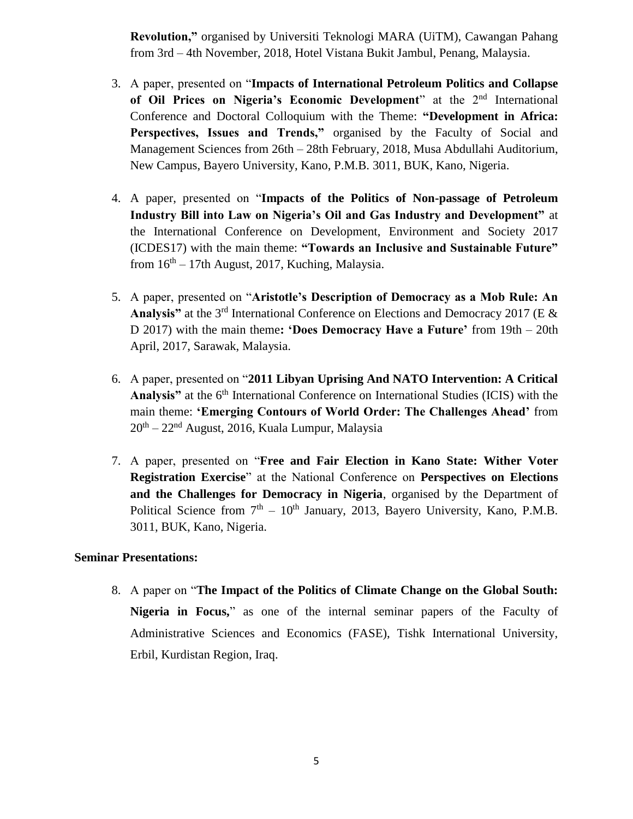**Revolution,"** organised by Universiti Teknologi MARA (UiTM), Cawangan Pahang from 3rd – 4th November, 2018, Hotel Vistana Bukit Jambul, Penang, Malaysia.

- 3. A paper, presented on "**Impacts of International Petroleum Politics and Collapse of Oil Prices on Nigeria's Economic Development**" at the 2nd International Conference and Doctoral Colloquium with the Theme: **"Development in Africa: Perspectives, Issues and Trends,"** organised by the Faculty of Social and Management Sciences from 26th – 28th February, 2018, Musa Abdullahi Auditorium, New Campus, Bayero University, Kano, P.M.B. 3011, BUK, Kano, Nigeria.
- 4. A paper, presented on "**Impacts of the Politics of Non-passage of Petroleum Industry Bill into Law on Nigeria's Oil and Gas Industry and Development"** at the International Conference on Development, Environment and Society 2017 (ICDES17) with the main theme: **"Towards an Inclusive and Sustainable Future"** from  $16<sup>th</sup> - 17$ th August, 2017, Kuching, Malaysia.
- 5. A paper, presented on "**Aristotle's Description of Democracy as a Mob Rule: An Analysis"** at the 3rd International Conference on Elections and Democracy 2017 (E & D 2017) with the main theme**: 'Does Democracy Have a Future'** from 19th – 20th April, 2017, Sarawak, Malaysia.
- 6. A paper, presented on "**2011 Libyan Uprising And NATO Intervention: A Critical**  Analysis" at the 6<sup>th</sup> International Conference on International Studies (ICIS) with the main theme: **'Emerging Contours of World Order: The Challenges Ahead'** from 20<sup>th</sup> – 22<sup>nd</sup> August, 2016, Kuala Lumpur, Malaysia
- 7. A paper, presented on "**Free and Fair Election in Kano State: Wither Voter Registration Exercise**" at the National Conference on **Perspectives on Elections and the Challenges for Democracy in Nigeria**, organised by the Department of Political Science from  $7<sup>th</sup> - 10<sup>th</sup>$  January, 2013, Bayero University, Kano, P.M.B. 3011, BUK, Kano, Nigeria.

### **Seminar Presentations:**

8. A paper on "**The Impact of the Politics of Climate Change on the Global South: Nigeria in Focus,**" as one of the internal seminar papers of the Faculty of Administrative Sciences and Economics (FASE), Tishk International University, Erbil, Kurdistan Region, Iraq.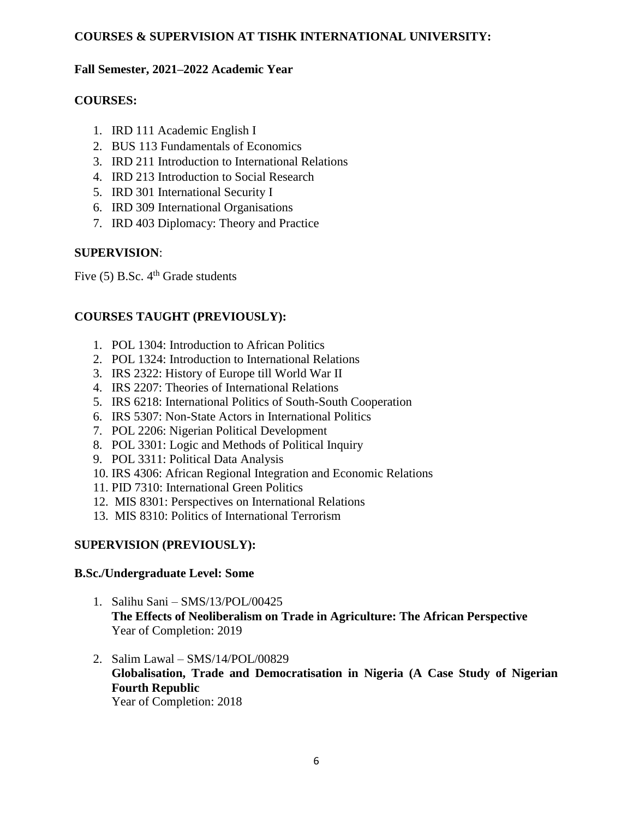### **COURSES & SUPERVISION AT TISHK INTERNATIONAL UNIVERSITY:**

### **Fall Semester, 2021–2022 Academic Year**

## **COURSES:**

- 1. IRD 111 Academic English I
- 2. BUS 113 Fundamentals of Economics
- 3. IRD 211 Introduction to International Relations
- 4. IRD 213 Introduction to Social Research
- 5. IRD 301 International Security I
- 6. IRD 309 International Organisations
- 7. IRD 403 Diplomacy: Theory and Practice

## **SUPERVISION**:

Five  $(5)$  B.Sc.  $4<sup>th</sup>$  Grade students

# **COURSES TAUGHT (PREVIOUSLY):**

- 1. POL 1304: Introduction to African Politics
- 2. POL 1324: Introduction to International Relations
- 3. IRS 2322: History of Europe till World War II
- 4. IRS 2207: Theories of International Relations
- 5. IRS 6218: International Politics of South-South Cooperation
- 6. IRS 5307: Non-State Actors in International Politics
- 7. POL 2206: Nigerian Political Development
- 8. POL 3301: Logic and Methods of Political Inquiry
- 9. POL 3311: Political Data Analysis
- 10. IRS 4306: African Regional Integration and Economic Relations
- 11. PID 7310: International Green Politics
- 12. MIS 8301: Perspectives on International Relations
- 13. MIS 8310: Politics of International Terrorism

# **SUPERVISION (PREVIOUSLY):**

### **B.Sc./Undergraduate Level: Some**

- 1. Salihu Sani SMS/13/POL/00425 **The Effects of Neoliberalism on Trade in Agriculture: The African Perspective**  Year of Completion: 2019
- 2. Salim Lawal SMS/14/POL/00829 **Globalisation, Trade and Democratisation in Nigeria (A Case Study of Nigerian Fourth Republic** Year of Completion: 2018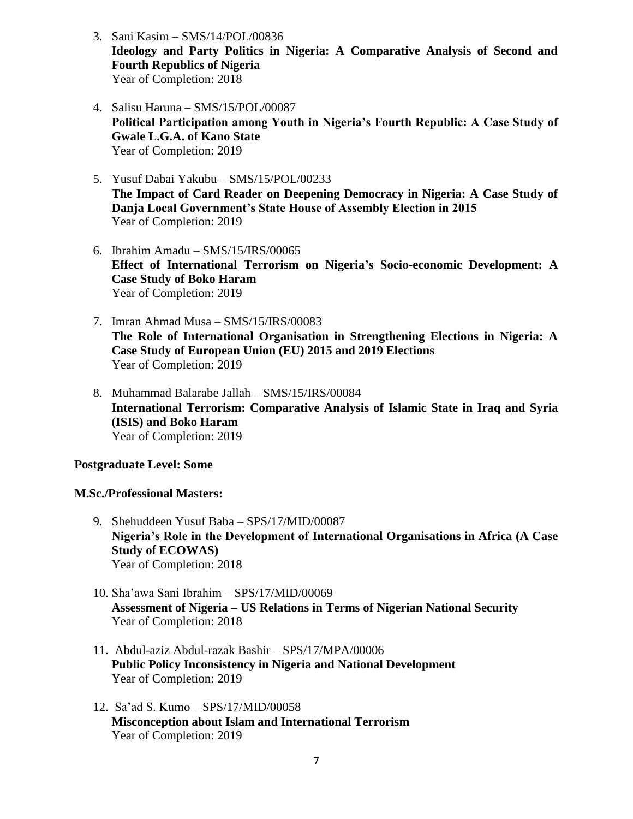- 3. Sani Kasim SMS/14/POL/00836 **Ideology and Party Politics in Nigeria: A Comparative Analysis of Second and Fourth Republics of Nigeria** Year of Completion: 2018
- 4. Salisu Haruna SMS/15/POL/00087 **Political Participation among Youth in Nigeria's Fourth Republic: A Case Study of Gwale L.G.A. of Kano State** Year of Completion: 2019
- 5. Yusuf Dabai Yakubu SMS/15/POL/00233 **The Impact of Card Reader on Deepening Democracy in Nigeria: A Case Study of Danja Local Government's State House of Assembly Election in 2015** Year of Completion: 2019
- 6. Ibrahim Amadu SMS/15/IRS/00065 **Effect of International Terrorism on Nigeria's Socio-economic Development: A Case Study of Boko Haram** Year of Completion: 2019
- 7. Imran Ahmad Musa SMS/15/IRS/00083 **The Role of International Organisation in Strengthening Elections in Nigeria: A Case Study of European Union (EU) 2015 and 2019 Elections** Year of Completion: 2019
- 8. Muhammad Balarabe Jallah SMS/15/IRS/00084 **International Terrorism: Comparative Analysis of Islamic State in Iraq and Syria (ISIS) and Boko Haram** Year of Completion: 2019

### **Postgraduate Level: Some**

### **M.Sc./Professional Masters:**

- 9. Shehuddeen Yusuf Baba SPS/17/MID/00087 **Nigeria's Role in the Development of International Organisations in Africa (A Case Study of ECOWAS)** Year of Completion: 2018
- 10. Sha'awa Sani Ibrahim SPS/17/MID/00069 **Assessment of Nigeria – US Relations in Terms of Nigerian National Security**  Year of Completion: 2018
- 11. Abdul-aziz Abdul-razak Bashir SPS/17/MPA/00006 **Public Policy Inconsistency in Nigeria and National Development**  Year of Completion: 2019
- 12. Sa'ad S. Kumo SPS/17/MID/00058 **Misconception about Islam and International Terrorism**  Year of Completion: 2019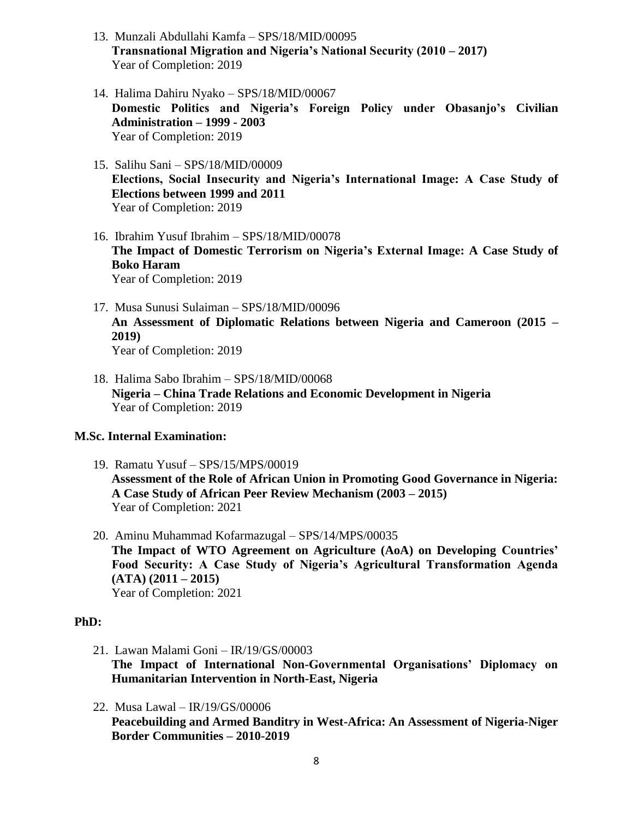- 13. Munzali Abdullahi Kamfa SPS/18/MID/00095 **Transnational Migration and Nigeria's National Security (2010 – 2017)** Year of Completion: 2019
- 14. Halima Dahiru Nyako SPS/18/MID/00067 **Domestic Politics and Nigeria's Foreign Policy under Obasanjo's Civilian Administration – 1999 - 2003** Year of Completion: 2019
- 15. Salihu Sani SPS/18/MID/00009 **Elections, Social Insecurity and Nigeria's International Image: A Case Study of Elections between 1999 and 2011**  Year of Completion: 2019
- 16. Ibrahim Yusuf Ibrahim SPS/18/MID/00078 **The Impact of Domestic Terrorism on Nigeria's External Image: A Case Study of Boko Haram**  Year of Completion: 2019
- 17. Musa Sunusi Sulaiman SPS/18/MID/00096 **An Assessment of Diplomatic Relations between Nigeria and Cameroon (2015 – 2019)** Year of Completion: 2019
- 18. Halima Sabo Ibrahim SPS/18/MID/00068 **Nigeria – China Trade Relations and Economic Development in Nigeria** Year of Completion: 2019

### **M.Sc. Internal Examination:**

- 19. Ramatu Yusuf SPS/15/MPS/00019 **Assessment of the Role of African Union in Promoting Good Governance in Nigeria: A Case Study of African Peer Review Mechanism (2003 – 2015)**  Year of Completion: 2021
- 20. Aminu Muhammad Kofarmazugal SPS/14/MPS/00035 **The Impact of WTO Agreement on Agriculture (AoA) on Developing Countries' Food Security: A Case Study of Nigeria's Agricultural Transformation Agenda (ATA) (2011 – 2015)** Year of Completion: 2021

### **PhD:**

- 21. Lawan Malami Goni IR/19/GS/00003 **The Impact of International Non-Governmental Organisations' Diplomacy on Humanitarian Intervention in North-East, Nigeria**
- 22. Musa Lawal IR/19/GS/00006 **Peacebuilding and Armed Banditry in West-Africa: An Assessment of Nigeria-Niger Border Communities – 2010-2019**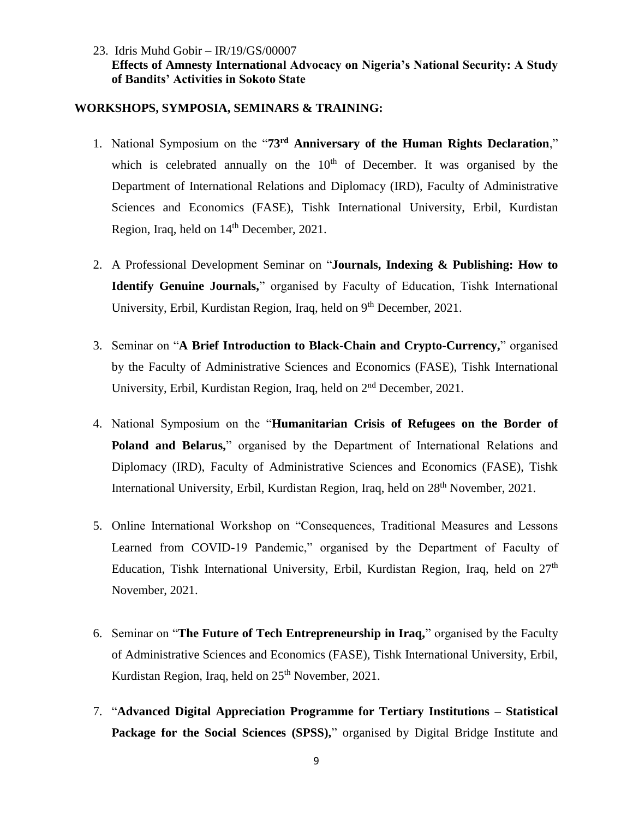### 23. Idris Muhd Gobir – IR/19/GS/00007 **Effects of Amnesty International Advocacy on Nigeria's National Security: A Study of Bandits' Activities in Sokoto State**

#### **WORKSHOPS, SYMPOSIA, SEMINARS & TRAINING:**

- 1. National Symposium on the "**73rd Anniversary of the Human Rights Declaration**," which is celebrated annually on the  $10<sup>th</sup>$  of December. It was organised by the Department of International Relations and Diplomacy (IRD), Faculty of Administrative Sciences and Economics (FASE), Tishk International University, Erbil, Kurdistan Region, Iraq, held on  $14<sup>th</sup>$  December, 2021.
- 2. A Professional Development Seminar on "**Journals, Indexing & Publishing: How to Identify Genuine Journals,**" organised by Faculty of Education, Tishk International University, Erbil, Kurdistan Region, Iraq, held on 9<sup>th</sup> December, 2021.
- 3. Seminar on "**A Brief Introduction to Black-Chain and Crypto-Currency,**" organised by the Faculty of Administrative Sciences and Economics (FASE), Tishk International University, Erbil, Kurdistan Region, Iraq, held on 2<sup>nd</sup> December, 2021.
- 4. National Symposium on the "**Humanitarian Crisis of Refugees on the Border of Poland and Belarus,**" organised by the Department of International Relations and Diplomacy (IRD), Faculty of Administrative Sciences and Economics (FASE), Tishk International University, Erbil, Kurdistan Region, Iraq, held on 28<sup>th</sup> November, 2021.
- 5. Online International Workshop on "Consequences, Traditional Measures and Lessons Learned from COVID-19 Pandemic," organised by the Department of Faculty of Education, Tishk International University, Erbil, Kurdistan Region, Iraq, held on 27<sup>th</sup> November, 2021.
- 6. Seminar on "**The Future of Tech Entrepreneurship in Iraq,**" organised by the Faculty of Administrative Sciences and Economics (FASE), Tishk International University, Erbil, Kurdistan Region, Iraq, held on 25<sup>th</sup> November, 2021.
- 7. "**Advanced Digital Appreciation Programme for Tertiary Institutions – Statistical Package for the Social Sciences (SPSS),"** organised by Digital Bridge Institute and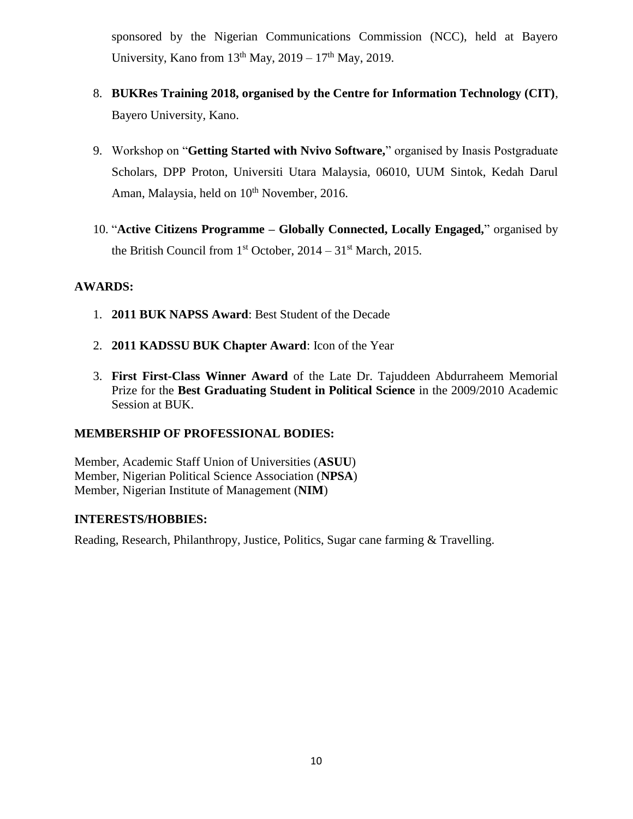sponsored by the Nigerian Communications Commission (NCC), held at Bayero University, Kano from  $13<sup>th</sup>$  May,  $2019 - 17<sup>th</sup>$  May, 2019.

- 8. **BUKRes Training 2018, organised by the Centre for Information Technology (CIT)**, Bayero University, Kano.
- 9. Workshop on "**Getting Started with Nvivo Software,**" organised by Inasis Postgraduate Scholars, DPP Proton, Universiti Utara Malaysia, 06010, UUM Sintok, Kedah Darul Aman, Malaysia, held on 10<sup>th</sup> November, 2016.
- 10. "**Active Citizens Programme – Globally Connected, Locally Engaged,**" organised by the British Council from  $1<sup>st</sup> October$ ,  $2014 - 31<sup>st</sup> March$ ,  $2015$ .

### **AWARDS:**

- 1. **2011 BUK NAPSS Award**: Best Student of the Decade
- 2. **2011 KADSSU BUK Chapter Award**: Icon of the Year
- 3. **First First-Class Winner Award** of the Late Dr. Tajuddeen Abdurraheem Memorial Prize for the **Best Graduating Student in Political Science** in the 2009/2010 Academic Session at BUK.

### **MEMBERSHIP OF PROFESSIONAL BODIES:**

Member, Academic Staff Union of Universities (**ASUU**) Member, Nigerian Political Science Association (**NPSA**) Member, Nigerian Institute of Management (**NIM**)

### **INTERESTS/HOBBIES:**

Reading, Research, Philanthropy, Justice, Politics, Sugar cane farming & Travelling.